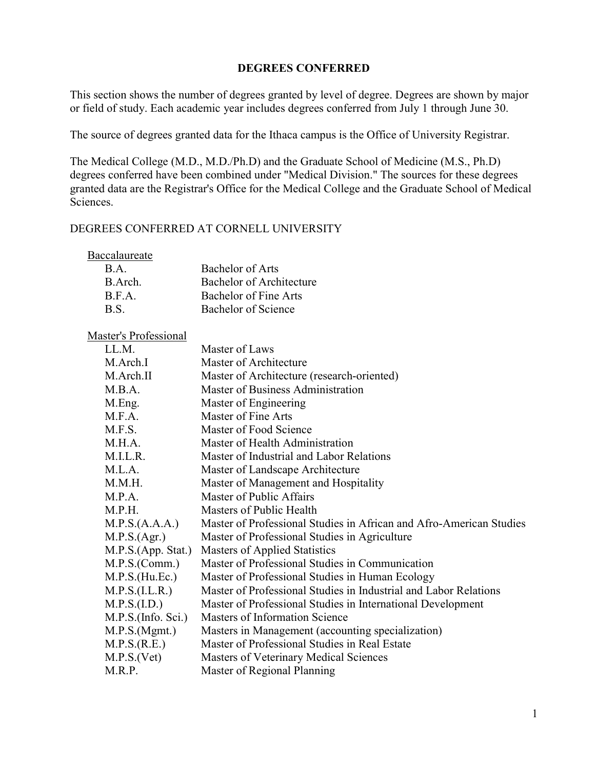## DEGREES CONFERRED

This section shows the number of degrees granted by level of degree. Degrees are shown by major or field of study. Each academic year includes degrees conferred from July 1 through June 30.

The source of degrees granted data for the Ithaca campus is the Office of University Registrar.

The Medical College (M.D., M.D./Ph.D) and the Graduate School of Medicine (M.S., Ph.D) degrees conferred have been combined under "Medical Division." The sources for these degrees granted data are the Registrar's Office for the Medical College and the Graduate School of Medical Sciences.

## DEGREES CONFERRED AT CORNELL UNIVERSITY

| Baccalaureate                   |                          |
|---------------------------------|--------------------------|
| $\mathbf{B} \cdot \mathbf{A}$ . | Bachelor of Arts         |
| B. Arch.                        | Bachelor of Architecture |
| R.F.A.                          | Bachelor of Fine Arts    |
| B S                             | Bachelor of Science      |

| LL.M.              | Master of Laws                                                      |
|--------------------|---------------------------------------------------------------------|
| M.Arch.I           | Master of Architecture                                              |
| M.Arch.II          | Master of Architecture (research-oriented)                          |
| M.B.A.             | Master of Business Administration                                   |
| M.Eng.             | Master of Engineering                                               |
| M.F.A.             | Master of Fine Arts                                                 |
| M.F.S.             | Master of Food Science                                              |
| M.H.A.             | Master of Health Administration                                     |
| M.I.L.R.           | Master of Industrial and Labor Relations                            |
| M.L.A.             | Master of Landscape Architecture                                    |
| M.M.H.             | Master of Management and Hospitality                                |
| M.P.A.             | Master of Public Affairs                                            |
| M.P.H.             | Masters of Public Health                                            |
| M.P.S.(A.A.A.)     | Master of Professional Studies in African and Afro-American Studies |
| M.P.S.(Agr.)       | Master of Professional Studies in Agriculture                       |
| M.P.S.(App. Stat.) | Masters of Applied Statistics                                       |
| M.P.S. (Comm.)     | Master of Professional Studies in Communication                     |
| M.P.S.(Hu.Ec.)     | Master of Professional Studies in Human Ecology                     |
| M.P.S.(I.L.R.)     | Master of Professional Studies in Industrial and Labor Relations    |
| M.P.S.(I.D.)       | Master of Professional Studies in International Development         |
| M.P.S.(Info. Sci.) | Masters of Information Science                                      |
| M.P.S.(Mgmt.)      | Masters in Management (accounting specialization)                   |
| M.P.S.(R.E.)       | Master of Professional Studies in Real Estate                       |
| M.P.S.(Vet)        | Masters of Veterinary Medical Sciences                              |
| M.R.P.             | Master of Regional Planning                                         |
|                    |                                                                     |